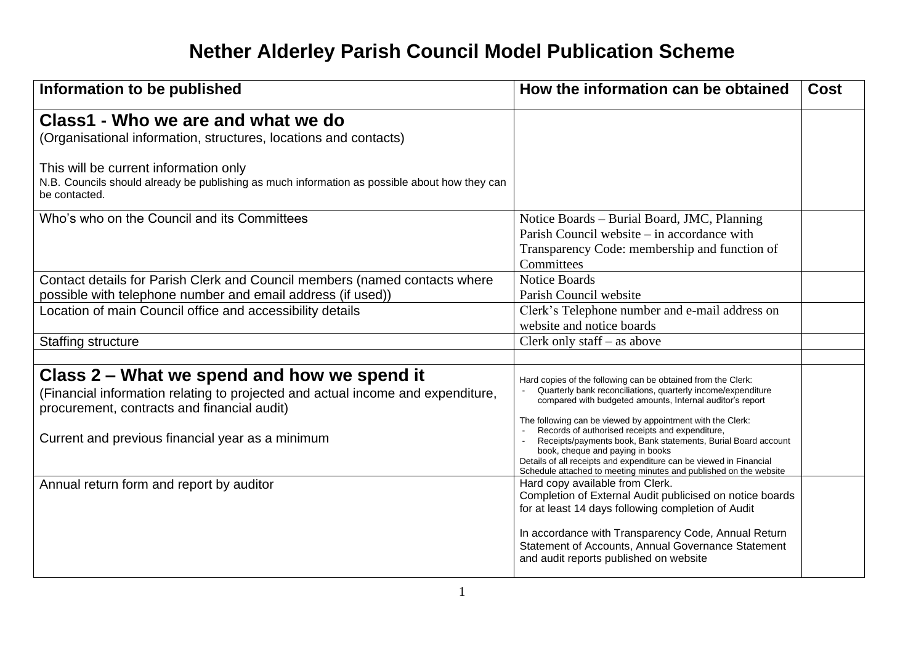## **Nether Alderley Parish Council Model Publication Scheme**

| Information to be published                                                                                                                                                   | How the information can be obtained                                                                                                                                                                                                                                                                        | Cost |
|-------------------------------------------------------------------------------------------------------------------------------------------------------------------------------|------------------------------------------------------------------------------------------------------------------------------------------------------------------------------------------------------------------------------------------------------------------------------------------------------------|------|
| Class1 - Who we are and what we do<br>(Organisational information, structures, locations and contacts)                                                                        |                                                                                                                                                                                                                                                                                                            |      |
| This will be current information only<br>N.B. Councils should already be publishing as much information as possible about how they can<br>be contacted.                       |                                                                                                                                                                                                                                                                                                            |      |
| Who's who on the Council and its Committees                                                                                                                                   | Notice Boards – Burial Board, JMC, Planning<br>Parish Council website – in accordance with<br>Transparency Code: membership and function of<br>Committees                                                                                                                                                  |      |
| Contact details for Parish Clerk and Council members (named contacts where<br>possible with telephone number and email address (if used))                                     | <b>Notice Boards</b><br>Parish Council website                                                                                                                                                                                                                                                             |      |
| Location of main Council office and accessibility details                                                                                                                     | Clerk's Telephone number and e-mail address on<br>website and notice boards                                                                                                                                                                                                                                |      |
| <b>Staffing structure</b>                                                                                                                                                     | Clerk only staff $-$ as above                                                                                                                                                                                                                                                                              |      |
|                                                                                                                                                                               |                                                                                                                                                                                                                                                                                                            |      |
| Class 2 – What we spend and how we spend it<br>(Financial information relating to projected and actual income and expenditure,<br>procurement, contracts and financial audit) | Hard copies of the following can be obtained from the Clerk:<br>Quarterly bank reconciliations, quarterly income/expenditure<br>compared with budgeted amounts, Internal auditor's report<br>The following can be viewed by appointment with the Clerk:<br>Records of authorised receipts and expenditure, |      |
| Current and previous financial year as a minimum                                                                                                                              | Receipts/payments book, Bank statements, Burial Board account<br>book, cheque and paying in books<br>Details of all receipts and expenditure can be viewed in Financial<br>Schedule attached to meeting minutes and published on the website                                                               |      |
| Annual return form and report by auditor                                                                                                                                      | Hard copy available from Clerk.<br>Completion of External Audit publicised on notice boards<br>for at least 14 days following completion of Audit                                                                                                                                                          |      |
|                                                                                                                                                                               | In accordance with Transparency Code, Annual Return<br>Statement of Accounts, Annual Governance Statement<br>and audit reports published on website                                                                                                                                                        |      |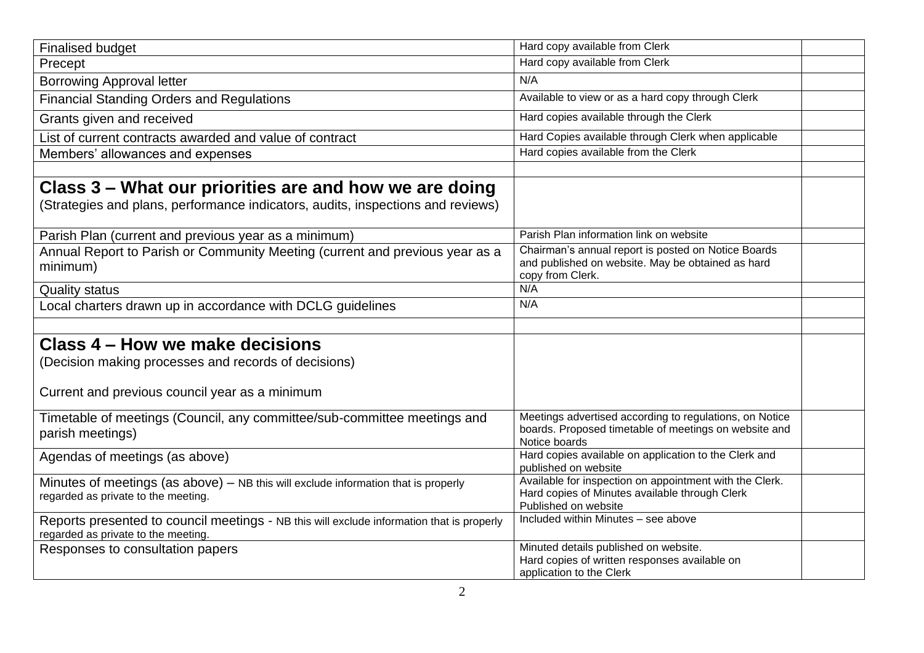| <b>Finalised budget</b>                                                                                                          | Hard copy available from Clerk                                                                                                    |  |
|----------------------------------------------------------------------------------------------------------------------------------|-----------------------------------------------------------------------------------------------------------------------------------|--|
| Precept                                                                                                                          | Hard copy available from Clerk                                                                                                    |  |
| <b>Borrowing Approval letter</b>                                                                                                 | N/A                                                                                                                               |  |
| <b>Financial Standing Orders and Regulations</b>                                                                                 | Available to view or as a hard copy through Clerk                                                                                 |  |
| Grants given and received                                                                                                        | Hard copies available through the Clerk                                                                                           |  |
| List of current contracts awarded and value of contract                                                                          | Hard Copies available through Clerk when applicable                                                                               |  |
| Members' allowances and expenses                                                                                                 | Hard copies available from the Clerk                                                                                              |  |
|                                                                                                                                  |                                                                                                                                   |  |
| Class 3 – What our priorities are and how we are doing                                                                           |                                                                                                                                   |  |
| (Strategies and plans, performance indicators, audits, inspections and reviews)                                                  |                                                                                                                                   |  |
| Parish Plan (current and previous year as a minimum)                                                                             | Parish Plan information link on website                                                                                           |  |
| Annual Report to Parish or Community Meeting (current and previous year as a<br>minimum)                                         | Chairman's annual report is posted on Notice Boards<br>and published on website. May be obtained as hard<br>copy from Clerk.      |  |
| <b>Quality status</b>                                                                                                            | N/A                                                                                                                               |  |
| Local charters drawn up in accordance with DCLG guidelines                                                                       | N/A                                                                                                                               |  |
|                                                                                                                                  |                                                                                                                                   |  |
| Class 4 – How we make decisions                                                                                                  |                                                                                                                                   |  |
| (Decision making processes and records of decisions)                                                                             |                                                                                                                                   |  |
| Current and previous council year as a minimum                                                                                   |                                                                                                                                   |  |
| Timetable of meetings (Council, any committee/sub-committee meetings and<br>parish meetings)                                     | Meetings advertised according to regulations, on Notice<br>boards. Proposed timetable of meetings on website and<br>Notice boards |  |
| Agendas of meetings (as above)                                                                                                   | Hard copies available on application to the Clerk and<br>published on website                                                     |  |
| Minutes of meetings (as above) - NB this will exclude information that is properly<br>regarded as private to the meeting.        | Available for inspection on appointment with the Clerk.<br>Hard copies of Minutes available through Clerk<br>Published on website |  |
| Reports presented to council meetings - NB this will exclude information that is properly<br>regarded as private to the meeting. | Included within Minutes - see above                                                                                               |  |
| Responses to consultation papers                                                                                                 | Minuted details published on website.<br>Hard copies of written responses available on<br>application to the Clerk                |  |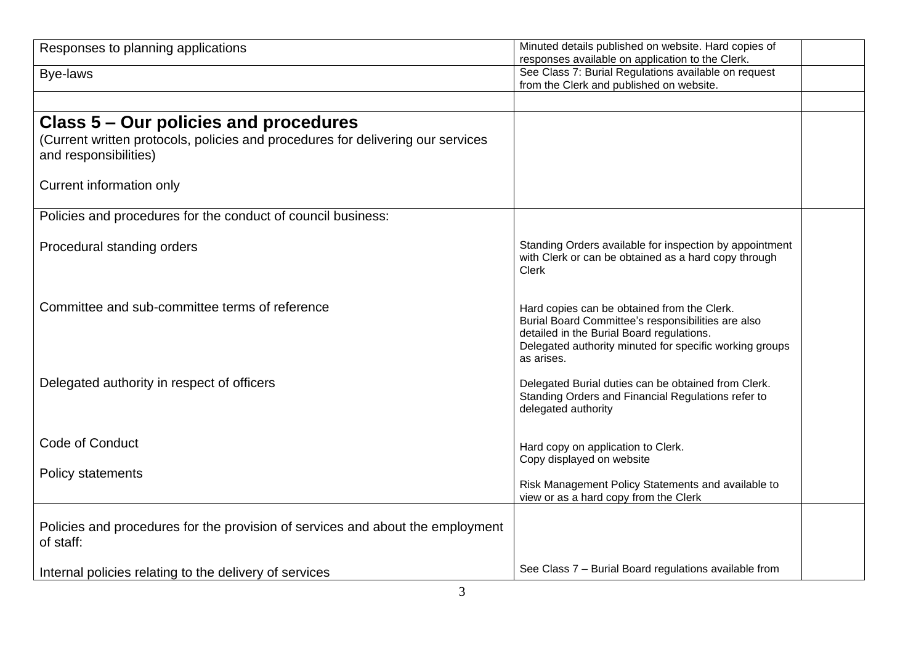| Responses to planning applications                                                                       | Minuted details published on website. Hard copies of<br>responses available on application to the Clerk.                                                                                                                |  |
|----------------------------------------------------------------------------------------------------------|-------------------------------------------------------------------------------------------------------------------------------------------------------------------------------------------------------------------------|--|
| Bye-laws                                                                                                 | See Class 7: Burial Regulations available on request<br>from the Clerk and published on website.                                                                                                                        |  |
|                                                                                                          |                                                                                                                                                                                                                         |  |
| Class 5 – Our policies and procedures                                                                    |                                                                                                                                                                                                                         |  |
| (Current written protocols, policies and procedures for delivering our services<br>and responsibilities) |                                                                                                                                                                                                                         |  |
| Current information only                                                                                 |                                                                                                                                                                                                                         |  |
| Policies and procedures for the conduct of council business:                                             |                                                                                                                                                                                                                         |  |
| Procedural standing orders                                                                               | Standing Orders available for inspection by appointment<br>with Clerk or can be obtained as a hard copy through<br>Clerk                                                                                                |  |
| Committee and sub-committee terms of reference                                                           | Hard copies can be obtained from the Clerk.<br>Burial Board Committee's responsibilities are also<br>detailed in the Burial Board regulations.<br>Delegated authority minuted for specific working groups<br>as arises. |  |
| Delegated authority in respect of officers                                                               | Delegated Burial duties can be obtained from Clerk.<br>Standing Orders and Financial Regulations refer to<br>delegated authority                                                                                        |  |
| Code of Conduct                                                                                          | Hard copy on application to Clerk.<br>Copy displayed on website                                                                                                                                                         |  |
| Policy statements                                                                                        | Risk Management Policy Statements and available to<br>view or as a hard copy from the Clerk                                                                                                                             |  |
| Policies and procedures for the provision of services and about the employment<br>of staff:              |                                                                                                                                                                                                                         |  |
| Internal policies relating to the delivery of services                                                   | See Class 7 - Burial Board regulations available from                                                                                                                                                                   |  |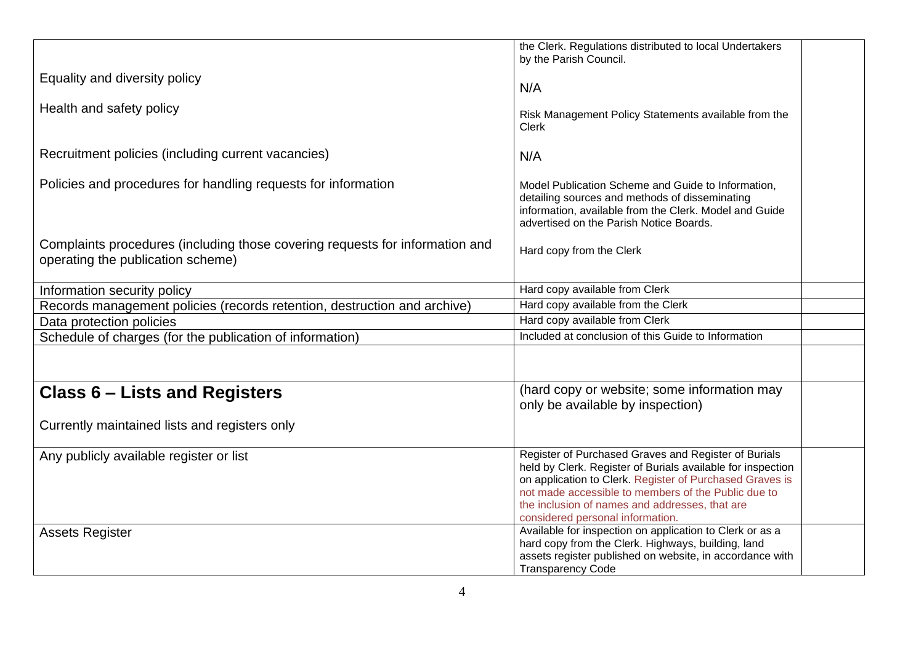|                                                                                                                   | the Clerk. Regulations distributed to local Undertakers                                                                                                                                                                                                                                                                      |
|-------------------------------------------------------------------------------------------------------------------|------------------------------------------------------------------------------------------------------------------------------------------------------------------------------------------------------------------------------------------------------------------------------------------------------------------------------|
|                                                                                                                   | by the Parish Council.                                                                                                                                                                                                                                                                                                       |
| Equality and diversity policy                                                                                     | N/A                                                                                                                                                                                                                                                                                                                          |
| Health and safety policy                                                                                          | Risk Management Policy Statements available from the<br><b>Clerk</b>                                                                                                                                                                                                                                                         |
| Recruitment policies (including current vacancies)                                                                | N/A                                                                                                                                                                                                                                                                                                                          |
| Policies and procedures for handling requests for information                                                     | Model Publication Scheme and Guide to Information,<br>detailing sources and methods of disseminating<br>information, available from the Clerk. Model and Guide<br>advertised on the Parish Notice Boards.                                                                                                                    |
| Complaints procedures (including those covering requests for information and<br>operating the publication scheme) | Hard copy from the Clerk                                                                                                                                                                                                                                                                                                     |
| Information security policy                                                                                       | Hard copy available from Clerk                                                                                                                                                                                                                                                                                               |
| Records management policies (records retention, destruction and archive)                                          | Hard copy available from the Clerk                                                                                                                                                                                                                                                                                           |
| Data protection policies                                                                                          | Hard copy available from Clerk                                                                                                                                                                                                                                                                                               |
| Schedule of charges (for the publication of information)                                                          | Included at conclusion of this Guide to Information                                                                                                                                                                                                                                                                          |
|                                                                                                                   |                                                                                                                                                                                                                                                                                                                              |
| <b>Class 6 – Lists and Registers</b>                                                                              | (hard copy or website; some information may<br>only be available by inspection)                                                                                                                                                                                                                                              |
| Currently maintained lists and registers only                                                                     |                                                                                                                                                                                                                                                                                                                              |
| Any publicly available register or list                                                                           | Register of Purchased Graves and Register of Burials<br>held by Clerk. Register of Burials available for inspection<br>on application to Clerk. Register of Purchased Graves is<br>not made accessible to members of the Public due to<br>the inclusion of names and addresses, that are<br>considered personal information. |
| <b>Assets Register</b>                                                                                            | Available for inspection on application to Clerk or as a<br>hard copy from the Clerk. Highways, building, land<br>assets register published on website, in accordance with<br><b>Transparency Code</b>                                                                                                                       |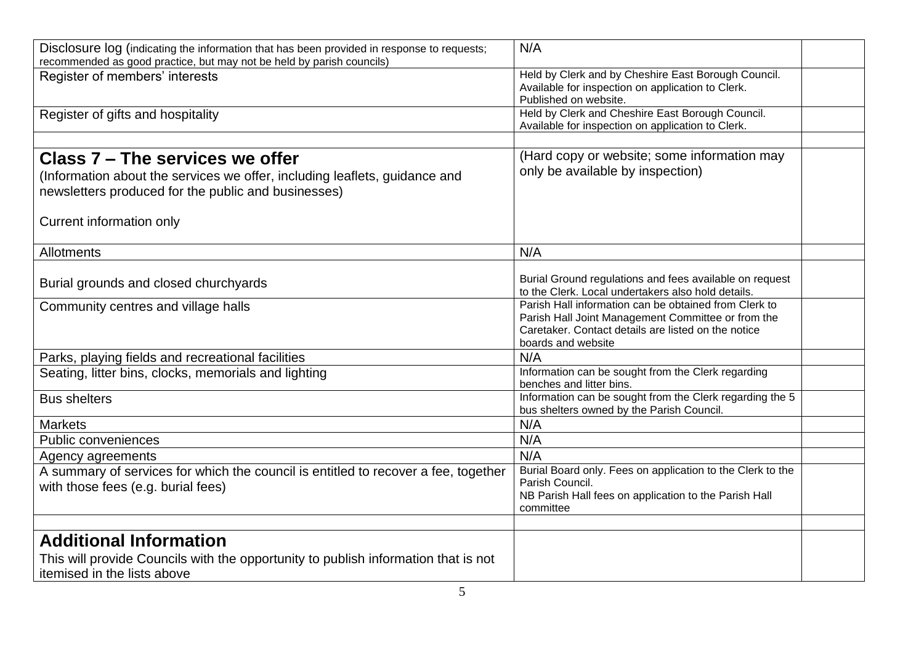| Disclosure log (indicating the information that has been provided in response to requests;<br>recommended as good practice, but may not be held by parish councils)  | N/A                                                                                                                                                                                      |  |
|----------------------------------------------------------------------------------------------------------------------------------------------------------------------|------------------------------------------------------------------------------------------------------------------------------------------------------------------------------------------|--|
| Register of members' interests                                                                                                                                       | Held by Clerk and by Cheshire East Borough Council.<br>Available for inspection on application to Clerk.<br>Published on website.                                                        |  |
| Register of gifts and hospitality                                                                                                                                    | Held by Clerk and Cheshire East Borough Council.<br>Available for inspection on application to Clerk.                                                                                    |  |
|                                                                                                                                                                      |                                                                                                                                                                                          |  |
| Class 7 – The services we offer<br>(Information about the services we offer, including leaflets, guidance and<br>newsletters produced for the public and businesses) | (Hard copy or website; some information may<br>only be available by inspection)                                                                                                          |  |
| Current information only                                                                                                                                             |                                                                                                                                                                                          |  |
| Allotments                                                                                                                                                           | N/A                                                                                                                                                                                      |  |
| Burial grounds and closed churchyards                                                                                                                                | Burial Ground regulations and fees available on request<br>to the Clerk. Local undertakers also hold details.                                                                            |  |
| Community centres and village halls                                                                                                                                  | Parish Hall information can be obtained from Clerk to<br>Parish Hall Joint Management Committee or from the<br>Caretaker. Contact details are listed on the notice<br>boards and website |  |
| Parks, playing fields and recreational facilities                                                                                                                    | N/A                                                                                                                                                                                      |  |
| Seating, litter bins, clocks, memorials and lighting                                                                                                                 | Information can be sought from the Clerk regarding<br>benches and litter bins.                                                                                                           |  |
| <b>Bus shelters</b>                                                                                                                                                  | Information can be sought from the Clerk regarding the 5<br>bus shelters owned by the Parish Council.                                                                                    |  |
| <b>Markets</b>                                                                                                                                                       | N/A                                                                                                                                                                                      |  |
| Public conveniences                                                                                                                                                  | N/A                                                                                                                                                                                      |  |
| Agency agreements                                                                                                                                                    | N/A                                                                                                                                                                                      |  |
| A summary of services for which the council is entitled to recover a fee, together<br>with those fees (e.g. burial fees)                                             | Burial Board only. Fees on application to the Clerk to the<br>Parish Council.<br>NB Parish Hall fees on application to the Parish Hall<br>committee                                      |  |
|                                                                                                                                                                      |                                                                                                                                                                                          |  |
| <b>Additional Information</b>                                                                                                                                        |                                                                                                                                                                                          |  |
| This will provide Councils with the opportunity to publish information that is not<br>itemised in the lists above                                                    |                                                                                                                                                                                          |  |